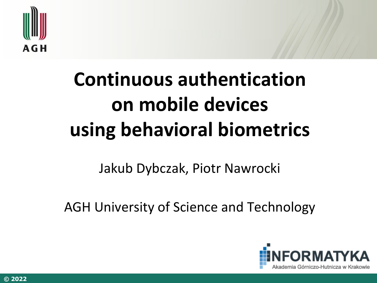

# **Continuous authentication on mobile devices using behavioral biometrics**

## Jakub Dybczak, Piotr Nawrocki

AGH University of Science and Technology

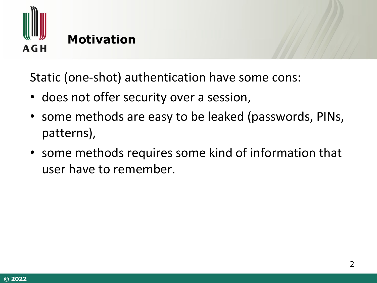

Static (one-shot) authentication have some cons:

- does not offer security over a session,
- some methods are easy to be leaked (passwords, PINs, patterns),
- some methods requires some kind of information that user have to remember.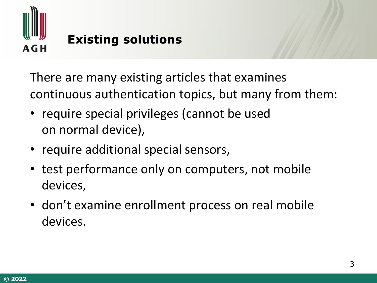

There are many existing articles that examines continuous authentication topics, but many from them:

- require special privileges (cannot be used on normal device),
- require additional special sensors,
- test performance only on computers, not mobile devices,
- don't examine enrollment process on real mobile devices.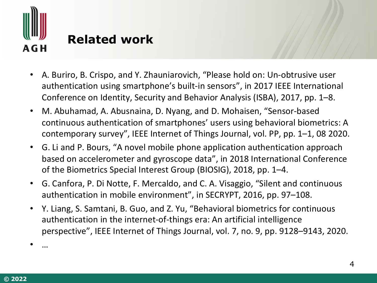

## **Related work**

- A. Buriro, B. Crispo, and Y. Zhauniarovich, "Please hold on: Un-obtrusive user authentication using smartphone's built-in sensors", in 2017 IEEE International Conference on Identity, Security and Behavior Analysis (ISBA), 2017, pp. 1–8.
- M. Abuhamad, A. Abusnaina, D. Nyang, and D. Mohaisen, "Sensor-based continuous authentication of smartphones' users using behavioral biometrics: A contemporary survey", IEEE Internet of Things Journal, vol. PP, pp. 1–1, 08 2020.
- G. Li and P. Bours, "A novel mobile phone application authentication approach based on accelerometer and gyroscope data", in 2018 International Conference of the Biometrics Special Interest Group (BIOSIG), 2018, pp. 1–4.
- G. Canfora, P. Di Notte, F. Mercaldo, and C. A. Visaggio, "Silent and continuous authentication in mobile environment", in SECRYPT, 2016, pp. 97–108.
- Y. Liang, S. Samtani, B. Guo, and Z. Yu, "Behavioral biometrics for continuous authentication in the internet-of-things era: An artificial intelligence perspective", IEEE Internet of Things Journal, vol. 7, no. 9, pp. 9128–9143, 2020.

• …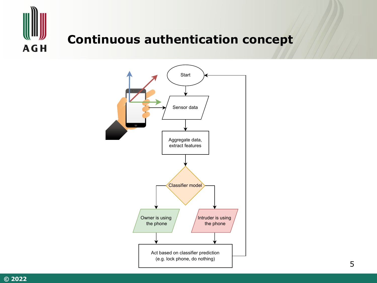

### **Continuous authentication concept**

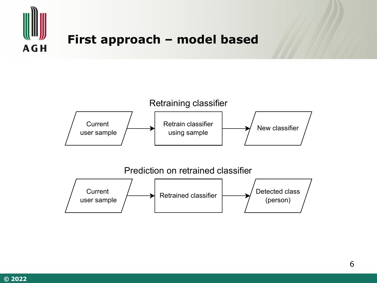

#### **First approach – model based**

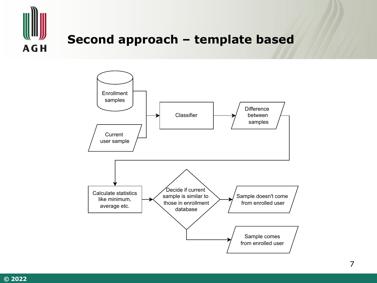

#### Second approach - template based

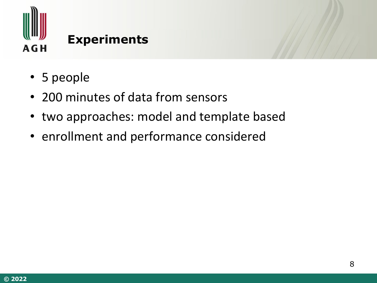

### **Experiments**

- 5 people
- 200 minutes of data from sensors
- two approaches: model and template based
- enrollment and performance considered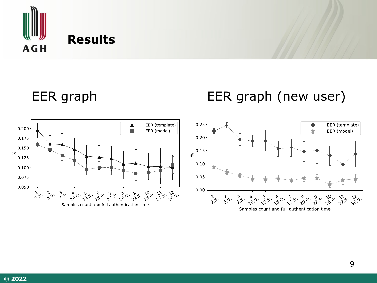

#### **Results**

EER graph EER graph (new user)



Samples count and full authentication time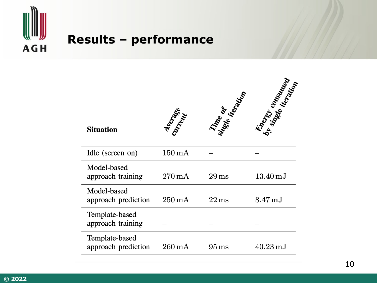

### **Results - performance**

| <b>Situation</b>                      | <b>Allenger</b>    | Tine or            | Energy Construction   |
|---------------------------------------|--------------------|--------------------|-----------------------|
| Idle (screen on)                      | $150\,\mathrm{mA}$ |                    |                       |
| Model-based<br>approach training      | $270\,\mathrm{mA}$ | $29 \,\rm ms$      | $13.40\,\mathrm{mJ}$  |
| Model-based<br>approach prediction    | $250\,\mathrm{mA}$ | $22 \,\mathrm{ms}$ | $8.47 \,\mathrm{mJ}$  |
| Template-based<br>approach training   |                    |                    |                       |
| Template-based<br>approach prediction | $260\,\mathrm{mA}$ | $95 \,\mathrm{ms}$ | $40.23 \,\mathrm{mJ}$ |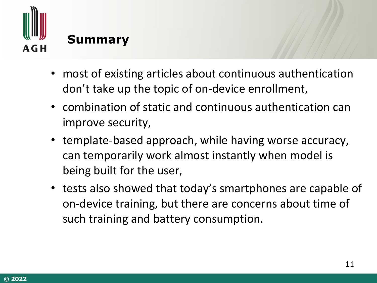

## **Summary**

- most of existing articles about continuous authentication don't take up the topic of on-device enrollment,
- combination of static and continuous authentication can improve security,
- template-based approach, while having worse accuracy, can temporarily work almost instantly when model is being built for the user,
- tests also showed that today's smartphones are capable of on-device training, but there are concerns about time of such training and battery consumption.